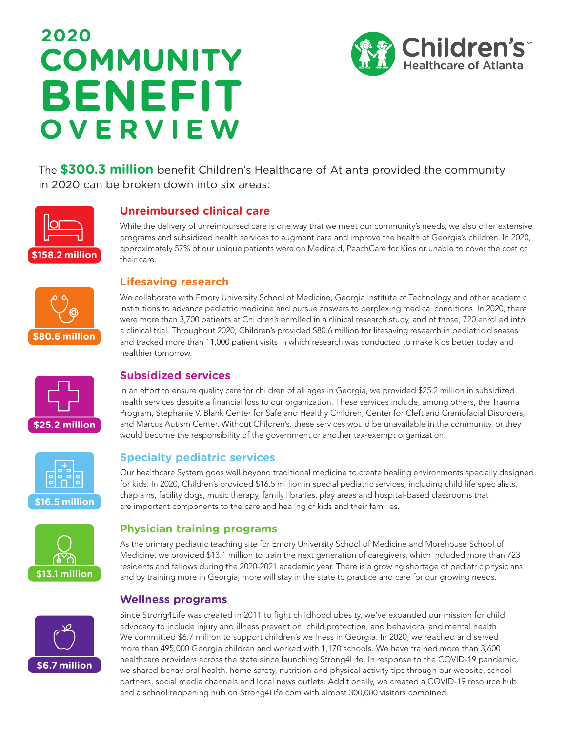# **2020 COMMUNITY BENEFIT OVERVIEW**



The **\$300.3 million** benefit Children's Healthcare of Atlanta provided the community in 2020 can be broken down into six areas:



# **Unreimbursed clinical care**

While the delivery of unreimbursed care is one way that we meet our community's needs, we also offer extensive programs and subsidized health services to augment care and improve the health of Georgia's children. In 2020, approximately 57% of our unique patients were on Medicaid, PeachCare for Kids or unable to cover the cost of their care.



## **Lifesaving research**

We collaborate with Emory University School of Medicine, Georgia Institute of Technology and other academic institutions to advance pediatric medicine and pursue answers to perplexing medical conditions. In 2020, there were more than 3,700 patients at Children's enrolled in a clinical research study, and of those, 720 enrolled into a clinical trial. Throughout 2020, Children's provided \$80.6 million for lifesaving research in pediatric diseases and tracked more than 11,000 patient visits in which research was conducted to make kids better today and healthier tomorrow.

# **Subsidized services**

In an effort to ensure quality care for children of all ages in Georgia, we provided \$25.2 million in subsidized health services despite a financial loss to our organization. These services include, among others, the Trauma Program, Stephanie V. Blank Center for Safe and Healthy Children, Center for Cleft and Craniofacial Disorders, and Marcus Autism Center. Without Children's, these services would be unavailable in the community, or they would become the responsibility of the government or another tax-exempt organization.

### **Specialty pediatric services**

Our healthcare System goes well beyond traditional medicine to create healing environments specially designed for kids. In 2020, Children's provided \$16.5 million in special pediatric services, including child life specialists, chaplains, facility dogs, music therapy, family libraries, play areas and hospital-based classrooms that are important components to the care and healing of kids and their families.

### **Physician training programs**

As the primary pediatric teaching site for Emory University School of Medicine and Morehouse School of Medicine, we provided \$13.1 million to train the next generation of caregivers, which included more than 723 residents and fellows during the 2020-2021 academic year. There is a growing shortage of pediatric physicians and by training more in Georgia, more will stay in the state to practice and care for our growing needs.

#### **Wellness programs**



**\$16.5 million**

**\$25.2 million**

**\$13.1 million**

Since Strong4Life was created in 2011 to fight childhood obesity, we've expanded our mission for child advocacy to include injury and illness prevention, child protection, and behavioral and mental health. We committed \$6.7 million to support children's wellness in Georgia. In 2020, we reached and served more than 495,000 Georgia children and worked with 1,170 schools. We have trained more than 3,600 healthcare providers across the state since launching Strong4Life. In response to the COVID-19 pandemic, we shared behavioral health, home safety, nutrition and physical activity tips through our website, school partners, social media channels and local news outlets. Additionally, we created a COVID-19 resource hub and a school reopening hub on Strong4Life.com with almost 300,000 visitors combined.